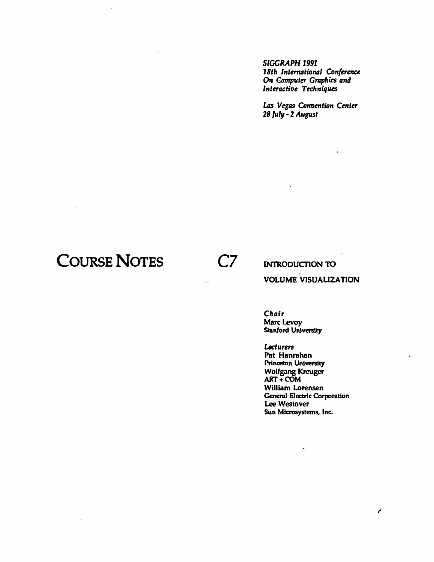*SIGGRAPH 1991*  18th International Conference **On** *0mrputer Graphia and Interactive Techniques* 

*uzs Vegas Convention Center 28 July* - **<sup>2</sup>***August* 

# **COURSE NOTES C7**

## **INTRODUCTION TO VOLUME VISUALIZATION**

*Chair*  **Marc Levoy Stanford University** 

**Lecturers Pat Hanrahan Princeton University Wolfgang Kreuger ART+COM William Lorensen Ceneral Electric Corporation Lee Westover Sun Microsystems, Inc.** 

 $\mathcal{L}$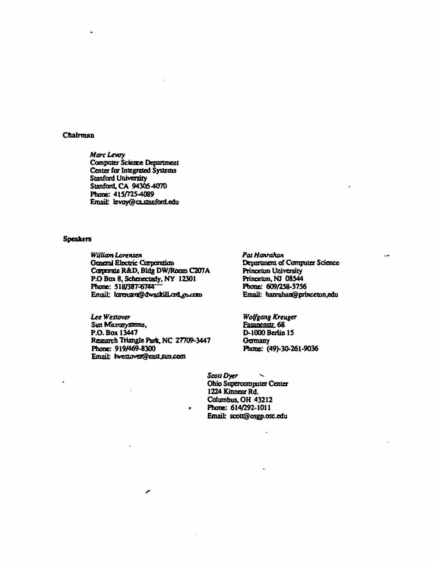#### Chairman

Marc Levoy **Computer Science Department** Center for Integrated Systems **Stanford University** Stanford, CA 94305-4070 Phone: 415/725-4089 Email: levoy@cs.stanford.edu

#### **Speakers**

 $\epsilon$ 

**William Lorensen General Electric Corporation** Corporate R&D, Bldg DW/Room C207A P.O Box 8, Schenectady, NY 12301 Phone: 518/387-6744 Email: kurensu@dwashill.cod.ga.com

Lee Westover Sun Marreystems, P.O. Box 13447 Research Triangle Park, NC 27709-3447 Phone: 919/469-8300 Email: Iwestover@east.sun.com

╭

Pai Harrahan Department of Computer Science **Princeton University** Princeton, NJ 08544 Phone: 609/258-5756 Email: hanrahan@princeton.edu

**Wolfgang Kreuger** Fasanenstr. 68 D-1000 Berlin 15 Germany Phone: (49)-30-261-9036

Scott Dyer Ohio Supercomputer Center 1224 Kinnear Rd. Columbus, OH 43212 Phone: 614/292-1011 Email: scott@osgp.osc.edu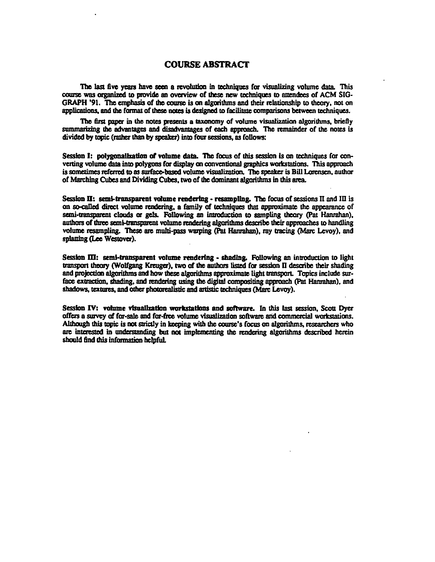#### COURSE ABSTRACT

The last five years have seen a revolution in techniques for visualizing volume data. This course was organized to provide an overview of these new techniques to attendees of ACM SIG-GRAPH '91. The emphasis of the course is on algorithms and their relationship to theory, not on applications, and the format of these notes is designed to facilitate comparisons between techniques.

The first paper in the notes presents a taxonomy of volume visualization algorithms, briefly summarizing the advantages and disadvantages of each approach. The remainder of the notes is divided by topic (rather than by speaker) into four sessions, as follows:

Session I: polygonalization of volume data. The focus of this session is on techniques for converting volume data into polygons for display on conventional graphics workstations. This approach is sometimes referred to as surface-based volume visualization. The speaker is Bill Lorensen, author of Marching Cubes and Dividing Cubes, two of the dominant algorithms in this area.

Session  $\Pi$ : semi-transparent volume rendering - resampling. The focus of sessions  $\Pi$  and  $\Pi$  is on so-called direct volume rendering, a family of techniques that approximate the appearance of semi-transparent clouds or gels. Following an introduction to sampling theory (Pat Hanrahan), authors of three semi-transparent volume rendering algorithms describe their approaches to handling volume resampling. These are multi-pass warping (Pat Hanrahan), ray tracing (Marc Levoy), and splatting (Lee Westover).

Session III: semi-transparent volume rendering - shading. Following an introduction to light transport theory (Wolfgang Kreuger), two of the authors listed for session II describe their shading and projection algorithms and how these algorithms approximate light transport. Topics include surface extraction, shading, and rendering using the digital compositing approach (Pat Hanrahan), and shadows, textures, and other photorealistic and artistic techniques (Marc Levoy).

Session IV: volume visualization workstations and software. In this last session, Scou Dyer offers a survey of for-sale and for-free volume visualization software and commercial workstations. Although this topic is not strictly in keeping with the course's focus on algorithms, researchers who are interested in understanding but not implementing the rendering algorithms described herein should find this information belpful.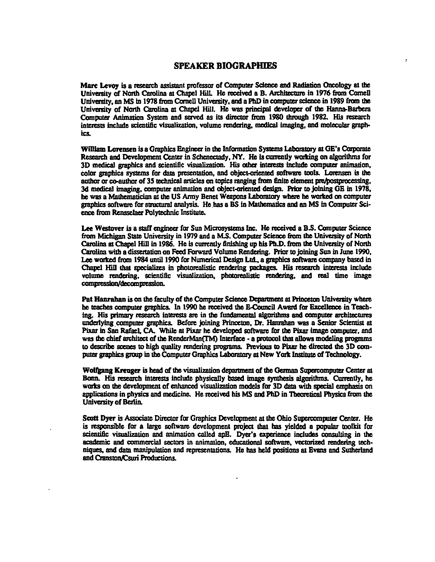#### **SPEAKER BIOGRAPHIES**

Marc Levoy is a research assistant professor of Computer Science and Radiation Oncology at the University of North Carolina at Chapel Hill. He received a B. Architecture in 1976 from Cornell University, an MS in 1978 from Cornell University, and a PhD in computer science in 1989 from the University of North Carolina at Chapel Hill, He was principal developer of the Hanna-Barbera Computer Animation System and served as its director from 1980 through 1982. His research interests include scientific visualization, volume rendering, medical imaging, and molecular graphics

William Lorensen is a Graphics Engineer in the Information Systems Laboratory at GE's Corporate Research and Development Center in Schenectady, NY. He is currently working on algorithms for 3D medical graphics and scientific visualization. His other interests include computer animation, color graphics systems for data presentation, and object-oriented software tools. Lorensen is the author or co-author of 35 technical articles on topics ranging from finite element pre/postprocessing, 3d medical imaging, computer animation and object-oriented design. Prior to joining GE in 1978. he was a Mathematician at the US Army Benet Weapons Laboratory where he worked on computer graphics software for structural analysis. He has a BS in Mathematics and an MS in Computer Science from Rensselaer Polytechnic Institute.

Lee Westover is a staff engineer for Sun Microsystems Inc. He received a B.S. Computer Science from Michigan State University in 1979 and a M.S. Computer Science from the University of North Carolina at Chapel Hill in 1986. He is currently finishing up his Ph.D. from the University of North Carolina with a dissertation on Feed Forward Volume Rendering. Prior to joining Sun in June 1990, Lee worked from 1984 until 1990 for Numerical Design Ltd., a graphics software company based in Chapel Hill that specializes in photorealistic rendering packages. His research interests include volume rendering, scientific visualization, photorealistic rendering, and real time image compression/decompression.

Pat Hanrahan is on the faculty of the Computer Science Department at Princeton University where he teaches computer graphics. In 1990 he received the E-Council Award for Excellence in Teaching. His primary research interests are in the fundamental algorithms and computer architectures underlying computer graphics. Before joining Princeton, Dr. Hanrahan was a Senior Scientist at Pixar in San Rafael, CA. While at Pixar he developed software for the Pixar image computer, and was the chief architect of the RenderMan(TM) Interface - a protocol that allows modeling programs to describe scenes to high quality rendering programs. Previous to Pixar he directed the 3D computer graphics group in the Computer Graphics Laboratory at New York Institute of Technology.

Wolfgang Kreuger is head of the visualization department of the German Supercomputer Center at Bonn. His research interests include physically based image synthesis algorithms. Currently, he works on the development of enhanced visualization models for 3D data with special emphasis on applications in physics and medicine. He received his MS and PhD in Theoretical Physics from the University of Berlin.

Scott Dyer is Associate Director for Graphics Development at the Ohio Supercomputer Center. He is responsible for a large software development project that has yielded a popular toolkit for scientific visualization and animation called apB. Dyer's experience includes consulting in the academic and commercial sectors in animation, educational software, vectorized rendering techniques, and data manipulation and representations. He has held positions at Evans and Sutherland and Cranston/Csuri Productions.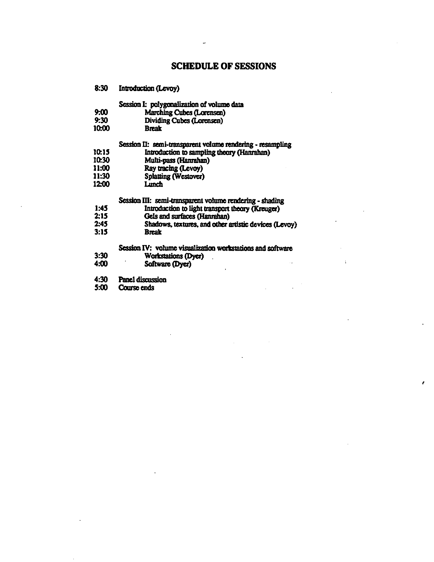#### **SCHEDULE OF SESSIONS**

÷

ŕ

 $8:30$ **Introduction (Levoy)** Session I: polygonalization of volume data  $9:00$ Marching Cubes (Lorensen)  $9:30$ Dividing Cubes (Lorensen) 10:00 **Break** Session II: semi-transparent volume rendering - resampling 10:15 Introduction to sampling theory (Hanrahan) Multi-pass (Hanrahan) 10:30 11:00 Ray tracing (Levoy) 11:30 Splatting (Westover)  $12:00$ Linch Session III: semi-transparent volume rendering - shading Introduction to light transport theory (Kreuger)  $1:45$ Gels and surfaces (Hanrahan)  $2:15$  $2:45$ Shadows, textures, and other artistic devices (Levoy)  $3:15$ **Break** Session IV: volume visualization workstations and software  $3:30$ Workstations (Dyer)  $4:00$ Software (Dyer)  $4:30$ Panel discussion  $5:00$ Course ends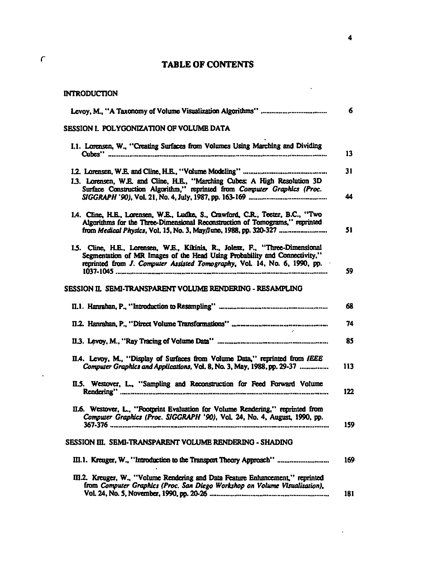## **TABLE OF CONTENTS**

| <b>INTRODUCTION</b>                                                                                                                                                                                                                      |          |
|------------------------------------------------------------------------------------------------------------------------------------------------------------------------------------------------------------------------------------------|----------|
|                                                                                                                                                                                                                                          | 6        |
| SESSION I. POLYGONIZATION OF VOLUME DATA                                                                                                                                                                                                 |          |
| I.1. Lorensen, W., "Creating Surfaces from Volumes Using Marching and Dividing                                                                                                                                                           | 13       |
| I.3. Lorensen, W.E. and Cline, H.E., "Marching Cubes: A High Resolution 3D<br>Surface Construction Algorithm," reprinted from Computer Graphics (Proc.                                                                                   | 31<br>44 |
| 1.4. Cline, H.E., Lorensen, W.E., Ludke, S., Crawford, C.R., Teeter, B.C., "Two<br>Algorithms for the Three-Dimensional Reconstruction of Tomograms," reprinted<br>from Medical Physics, Vol. 15, No. 3, May/June, 1988, pp. 320-327     | 51       |
| I.5. Cline, H.E., Lorensen, W.E., Kikinis, R., Jolesz, F., "Three-Dimensional<br>Segmentation of MR Images of the Head Using Probability and Connectivity,"<br>reprinted from J. Computer Assisted Tomography, Vol. 14, No. 6, 1990, pp. | 59       |
| SESSION IL SEMI-TRANSPARENT VOLUME RENDERING - RESAMPLING                                                                                                                                                                                |          |
|                                                                                                                                                                                                                                          | 68       |
|                                                                                                                                                                                                                                          | 74       |
|                                                                                                                                                                                                                                          | 85       |
| II.4. Levoy, M., "Display of Surfaces from Volume Data," reprinted from IEEE<br>Computer Graphics and Applications, Vol. 8, No. 3, May, 1988, pp. 29-37                                                                                  | 113      |
| II.5. Westover, L., "Sampling and Reconstruction for Feed Forward Volume                                                                                                                                                                 | 122      |
| II.6. Westover, L. "Footnrint Evaluation for Volume Rendering," reprinted from<br>Computer Graphics (Proc. SIGGRAPH '90), Vol. 24, No. 4, August, 1990, pp.                                                                              | 159      |
| SESSION III. SEMI-TRANSPARENT VOLUME RENDERING - SHADING                                                                                                                                                                                 |          |
| III.1. Kreuger, W., "Introduction to the Transport Theory Approach"                                                                                                                                                                      | 169      |
| III.2. Kreuger, W., "Volume Rendering and Data Feature Enhancement," reprinted<br>from Computer Graphics (Proc. San Diego Workshop on Volume Visualization),                                                                             | 181      |

 $\mathbb{Z}^2$ 

 $\mathbb{Z}^2$ 

 $\hat{\mathbf{r}}$